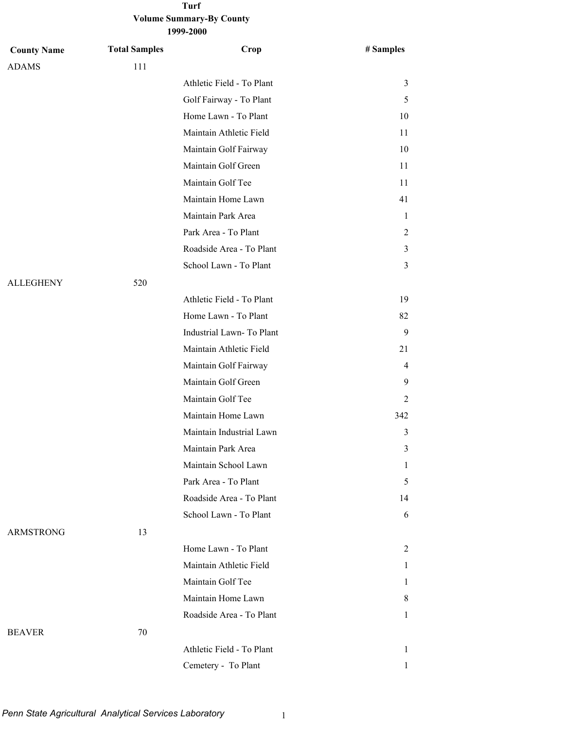### **Volume Summary-By County 1999-2000 Turf**

| <b>County Name</b> | <b>Total Samples</b> | Crop                      | # Samples |
|--------------------|----------------------|---------------------------|-----------|
| <b>ADAMS</b>       | 111                  |                           |           |
|                    |                      | Athletic Field - To Plant | 3         |
|                    |                      | Golf Fairway - To Plant   | 5         |
|                    |                      | Home Lawn - To Plant      | 10        |
|                    |                      | Maintain Athletic Field   | 11        |
|                    |                      | Maintain Golf Fairway     | 10        |
|                    |                      | Maintain Golf Green       | 11        |
|                    |                      | Maintain Golf Tee         | 11        |
|                    |                      | Maintain Home Lawn        | 41        |
|                    |                      | Maintain Park Area        | 1         |
|                    |                      | Park Area - To Plant      | 2         |
|                    |                      | Roadside Area - To Plant  | 3         |
|                    |                      | School Lawn - To Plant    | 3         |
| <b>ALLEGHENY</b>   | 520                  |                           |           |
|                    |                      | Athletic Field - To Plant | 19        |
|                    |                      | Home Lawn - To Plant      | 82        |
|                    |                      | Industrial Lawn-To Plant  | 9         |
|                    |                      | Maintain Athletic Field   | 21        |
|                    |                      | Maintain Golf Fairway     | 4         |
|                    |                      | Maintain Golf Green       | 9         |
|                    |                      | Maintain Golf Tee         | 2         |
|                    |                      | Maintain Home Lawn        | 342       |
|                    |                      | Maintain Industrial Lawn  | 3         |
|                    |                      | Maintain Park Area        | 3         |
|                    |                      | Maintain School Lawn      | 1         |
|                    |                      | Park Area - To Plant      | 5         |
|                    |                      | Roadside Area - To Plant  | 14        |
|                    |                      | School Lawn - To Plant    | 6         |
| <b>ARMSTRONG</b>   | 13                   |                           |           |
|                    |                      | Home Lawn - To Plant      | 2         |
|                    |                      | Maintain Athletic Field   | 1         |
|                    |                      | Maintain Golf Tee         | 1         |
|                    |                      | Maintain Home Lawn        | 8         |
|                    |                      | Roadside Area - To Plant  | 1         |
| <b>BEAVER</b>      | 70                   |                           |           |
|                    |                      | Athletic Field - To Plant | 1         |
|                    |                      | Cemetery - To Plant       | 1         |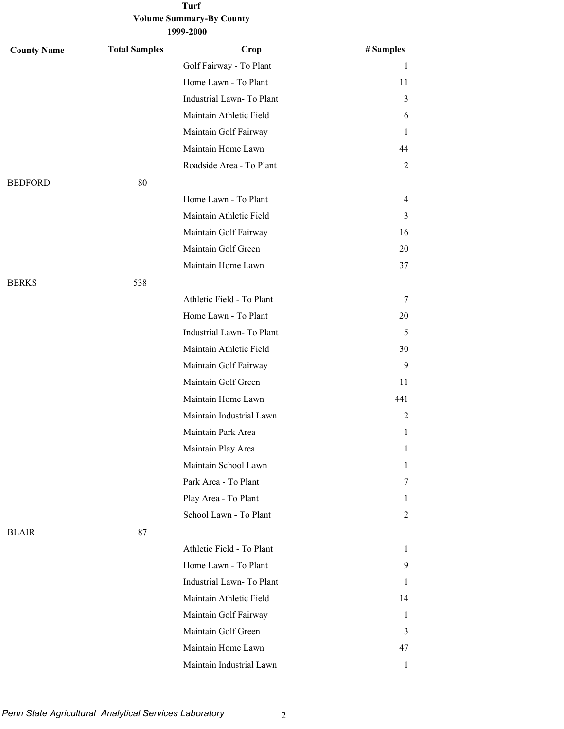| <b>County Name</b> | <b>Total Samples</b> | Crop                      | # Samples |
|--------------------|----------------------|---------------------------|-----------|
|                    |                      | Golf Fairway - To Plant   | 1         |
|                    |                      | Home Lawn - To Plant      | 11        |
|                    |                      | Industrial Lawn- To Plant | 3         |
|                    |                      | Maintain Athletic Field   | 6         |
|                    |                      | Maintain Golf Fairway     | 1         |
|                    |                      | Maintain Home Lawn        | 44        |
|                    |                      | Roadside Area - To Plant  | 2         |
| <b>BEDFORD</b>     | 80                   |                           |           |
|                    |                      | Home Lawn - To Plant      | 4         |
|                    |                      | Maintain Athletic Field   | 3         |
|                    |                      | Maintain Golf Fairway     | 16        |
|                    |                      | Maintain Golf Green       | 20        |
|                    |                      | Maintain Home Lawn        | 37        |
| <b>BERKS</b>       | 538                  |                           |           |
|                    |                      | Athletic Field - To Plant | 7         |
|                    |                      | Home Lawn - To Plant      | 20        |
|                    |                      | Industrial Lawn-To Plant  | 5         |
|                    |                      | Maintain Athletic Field   | 30        |
|                    |                      | Maintain Golf Fairway     | 9         |
|                    |                      | Maintain Golf Green       | 11        |
|                    |                      | Maintain Home Lawn        | 441       |
|                    |                      | Maintain Industrial Lawn  | 2         |
|                    |                      | Maintain Park Area        | 1         |
|                    |                      | Maintain Play Area        | 1         |
|                    |                      | Maintain School Lawn      | 1         |
|                    |                      | Park Area - To Plant      | 7         |
|                    |                      | Play Area - To Plant      | Ι.        |
|                    |                      | School Lawn - To Plant    | 2         |
| <b>BLAIR</b>       | 87                   |                           |           |
|                    |                      | Athletic Field - To Plant | 1         |
|                    |                      | Home Lawn - To Plant      | 9.        |
|                    |                      | Industrial Lawn-To Plant  | 1         |
|                    |                      | Maintain Athletic Field   | 14        |
|                    |                      | Maintain Golf Fairway     | 1         |
|                    |                      | Maintain Golf Green       | 3         |
|                    |                      | Maintain Home Lawn        | 47        |
|                    |                      | Maintain Industrial Lawn  | 1         |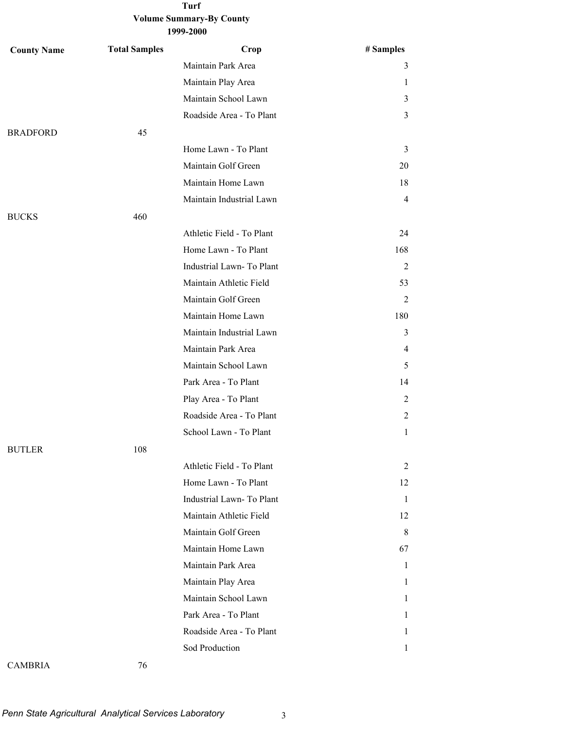| <b>County Name</b> | <b>Total Samples</b> | Crop                      | # Samples      |
|--------------------|----------------------|---------------------------|----------------|
|                    |                      | Maintain Park Area        | 3              |
|                    |                      | Maintain Play Area        | 1              |
|                    |                      | Maintain School Lawn      | $\mathfrak{Z}$ |
|                    |                      | Roadside Area - To Plant  | 3              |
| <b>BRADFORD</b>    | 45                   |                           |                |
|                    |                      | Home Lawn - To Plant      | 3              |
|                    |                      | Maintain Golf Green       | 20             |
|                    |                      | Maintain Home Lawn        | 18             |
|                    |                      | Maintain Industrial Lawn  | $\overline{4}$ |
| <b>BUCKS</b>       | 460                  |                           |                |
|                    |                      | Athletic Field - To Plant | 24             |
|                    |                      | Home Lawn - To Plant      | 168            |
|                    |                      | Industrial Lawn- To Plant | 2              |
|                    |                      | Maintain Athletic Field   | 53             |
|                    |                      | Maintain Golf Green       | 2              |
|                    |                      | Maintain Home Lawn        | 180            |
|                    |                      | Maintain Industrial Lawn  | 3              |
|                    |                      | Maintain Park Area        | 4              |
|                    |                      | Maintain School Lawn      | 5              |
|                    |                      | Park Area - To Plant      | 14             |
|                    |                      | Play Area - To Plant      | 2              |
|                    |                      | Roadside Area - To Plant  | 2              |
|                    |                      | School Lawn - To Plant    | $\mathbf{1}$   |
| <b>BUTLER</b>      | 108                  |                           |                |
|                    |                      | Athletic Field - To Plant | 2              |
|                    |                      | Home Lawn - To Plant      | 12             |
|                    |                      | Industrial Lawn- To Plant | 1              |
|                    |                      | Maintain Athletic Field   | 12             |
|                    |                      | Maintain Golf Green       | 8              |
|                    |                      | Maintain Home Lawn        | 67             |
|                    |                      | Maintain Park Area        | 1              |
|                    |                      | Maintain Play Area        | 1              |
|                    |                      | Maintain School Lawn      | $\mathbf{1}$   |
|                    |                      | Park Area - To Plant      | 1              |
|                    |                      | Roadside Area - To Plant  | $\mathbf{1}$   |
|                    |                      | Sod Production            | $\mathbf{1}$   |
|                    |                      |                           |                |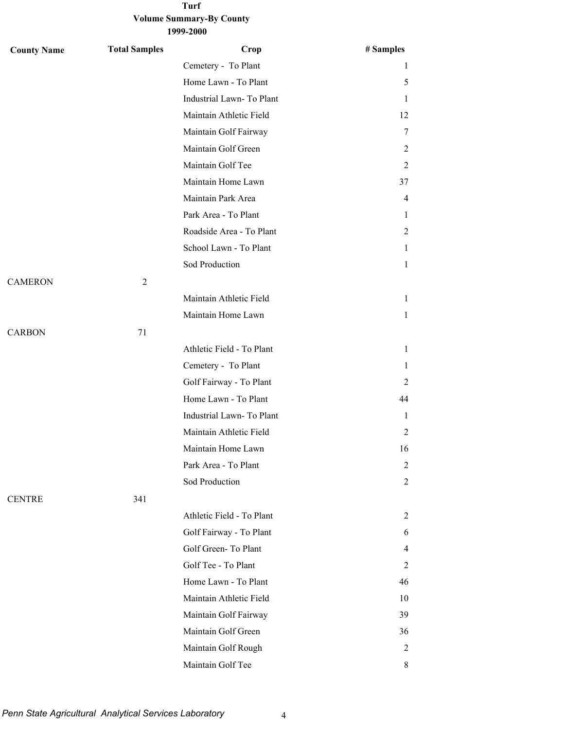| <b>County Name</b> | <b>Total Samples</b> | Crop                      | # Samples    |
|--------------------|----------------------|---------------------------|--------------|
|                    |                      | Cemetery - To Plant       | 1            |
|                    |                      | Home Lawn - To Plant      | 5            |
|                    |                      | Industrial Lawn-To Plant  | 1            |
|                    |                      | Maintain Athletic Field   | 12           |
|                    |                      | Maintain Golf Fairway     | 7            |
|                    |                      | Maintain Golf Green       | 2            |
|                    |                      | Maintain Golf Tee         | 2            |
|                    |                      | Maintain Home Lawn        | 37           |
|                    |                      | Maintain Park Area        | 4            |
|                    |                      | Park Area - To Plant      | 1            |
|                    |                      | Roadside Area - To Plant  | 2            |
|                    |                      | School Lawn - To Plant    | 1            |
|                    |                      | Sod Production            | 1            |
| <b>CAMERON</b>     | $\overline{2}$       |                           |              |
|                    |                      | Maintain Athletic Field   | $\mathbf{1}$ |
|                    |                      | Maintain Home Lawn        | 1            |
| <b>CARBON</b>      | 71                   |                           |              |
|                    |                      | Athletic Field - To Plant | 1            |
|                    |                      | Cemetery - To Plant       | 1            |
|                    |                      | Golf Fairway - To Plant   | 2            |
|                    |                      | Home Lawn - To Plant      | 44           |
|                    |                      | Industrial Lawn-To Plant  | 1            |
|                    |                      | Maintain Athletic Field   | 2            |
|                    |                      | Maintain Home Lawn        | 16           |
|                    |                      | Park Area - To Plant      | 2            |
|                    |                      | Sod Production            | 2            |
| <b>CENTRE</b>      | 341                  |                           |              |
|                    |                      | Athletic Field - To Plant | 2            |
|                    |                      | Golf Fairway - To Plant   | 6            |
|                    |                      | Golf Green-To Plant       | 4            |
|                    |                      | Golf Tee - To Plant       | 2            |
|                    |                      | Home Lawn - To Plant      | 46           |
|                    |                      | Maintain Athletic Field   | 10           |
|                    |                      | Maintain Golf Fairway     | 39           |
|                    |                      | Maintain Golf Green       | 36           |
|                    |                      | Maintain Golf Rough       | 2            |
|                    |                      | Maintain Golf Tee         | 8            |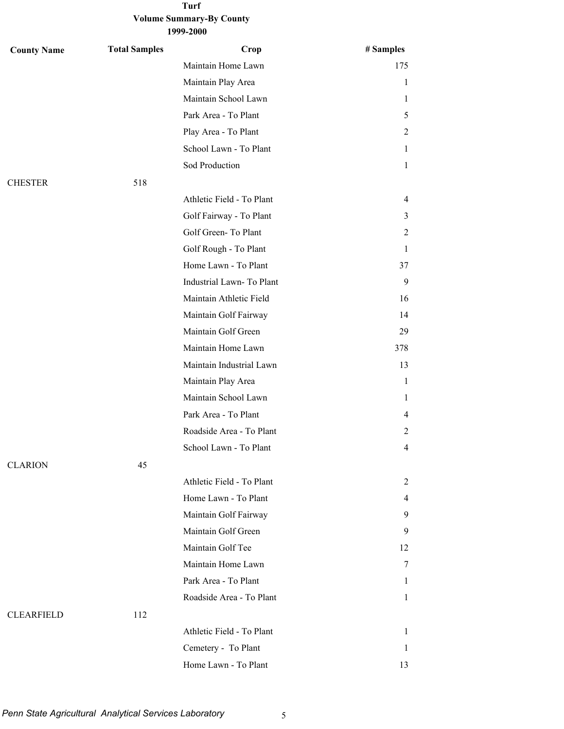| <b>County Name</b> | <b>Total Samples</b> | Crop                      | # Samples      |
|--------------------|----------------------|---------------------------|----------------|
|                    |                      | Maintain Home Lawn        | 175            |
|                    |                      | Maintain Play Area        | $\mathbf{1}$   |
|                    |                      | Maintain School Lawn      | $\mathbf{1}$   |
|                    |                      | Park Area - To Plant      | 5              |
|                    |                      | Play Area - To Plant      | 2              |
|                    |                      | School Lawn - To Plant    | 1              |
|                    |                      | Sod Production            | $\mathbf{1}$   |
| <b>CHESTER</b>     | 518                  |                           |                |
|                    |                      | Athletic Field - To Plant | $\overline{4}$ |
|                    |                      | Golf Fairway - To Plant   | 3              |
|                    |                      | Golf Green-To Plant       | 2              |
|                    |                      | Golf Rough - To Plant     | 1              |
|                    |                      | Home Lawn - To Plant      | 37             |
|                    |                      | Industrial Lawn-To Plant  | 9              |
|                    |                      | Maintain Athletic Field   | 16             |
|                    |                      | Maintain Golf Fairway     | 14             |
|                    |                      | Maintain Golf Green       | 29             |
|                    |                      | Maintain Home Lawn        | 378            |
|                    |                      | Maintain Industrial Lawn  | 13             |
|                    |                      | Maintain Play Area        | 1              |
|                    |                      | Maintain School Lawn      | 1              |
|                    |                      | Park Area - To Plant      | 4              |
|                    |                      | Roadside Area - To Plant  | 2              |
|                    |                      | School Lawn - To Plant    | 4              |
| <b>CLARION</b>     | 45                   |                           |                |
|                    |                      | Athletic Field - To Plant | 2              |
|                    |                      | Home Lawn - To Plant      | 4              |
|                    |                      | Maintain Golf Fairway     | 9              |
|                    |                      | Maintain Golf Green       | 9              |
|                    |                      | Maintain Golf Tee         | 12             |
|                    |                      | Maintain Home Lawn        | 7              |
|                    |                      | Park Area - To Plant      | 1              |
|                    |                      | Roadside Area - To Plant  | 1              |
| <b>CLEARFIELD</b>  | 112                  |                           |                |
|                    |                      | Athletic Field - To Plant | 1              |
|                    |                      | Cemetery - To Plant       | 1              |
|                    |                      | Home Lawn - To Plant      | 13             |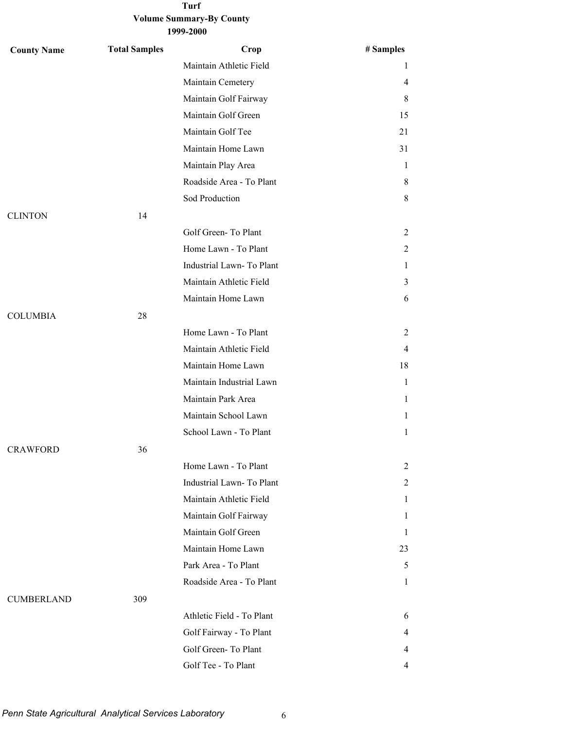| <b>County Name</b> | <b>Total Samples</b> | Crop                      | # Samples    |
|--------------------|----------------------|---------------------------|--------------|
|                    |                      | Maintain Athletic Field   | 1            |
|                    |                      | Maintain Cemetery         | 4            |
|                    |                      | Maintain Golf Fairway     | 8            |
|                    |                      | Maintain Golf Green       | 15           |
|                    |                      | Maintain Golf Tee         | 21           |
|                    |                      | Maintain Home Lawn        | 31           |
|                    |                      | Maintain Play Area        | 1            |
|                    |                      | Roadside Area - To Plant  | 8            |
|                    |                      | Sod Production            | 8            |
| <b>CLINTON</b>     | 14                   |                           |              |
|                    |                      | Golf Green-To Plant       | 2            |
|                    |                      | Home Lawn - To Plant      | 2            |
|                    |                      | Industrial Lawn-To Plant  | 1            |
|                    |                      | Maintain Athletic Field   | 3            |
|                    |                      | Maintain Home Lawn        | 6            |
| <b>COLUMBIA</b>    | 28                   |                           |              |
|                    |                      | Home Lawn - To Plant      | 2            |
|                    |                      | Maintain Athletic Field   | 4            |
|                    |                      | Maintain Home Lawn        | 18           |
|                    |                      | Maintain Industrial Lawn  | $\mathbf{1}$ |
|                    |                      | Maintain Park Area        | 1            |
|                    |                      | Maintain School Lawn      | 1            |
|                    |                      | School Lawn - To Plant    | 1            |
| <b>CRAWFORD</b>    | 36                   |                           |              |
|                    |                      | Home Lawn - To Plant      | 2            |
|                    |                      | Industrial Lawn-To Plant  | 2            |
|                    |                      | Maintain Athletic Field   | 1            |
|                    |                      | Maintain Golf Fairway     | 1            |
|                    |                      | Maintain Golf Green       | 1            |
|                    |                      | Maintain Home Lawn        | 23           |
|                    |                      | Park Area - To Plant      | 5            |
|                    |                      | Roadside Area - To Plant  | 1            |
| <b>CUMBERLAND</b>  | 309                  |                           |              |
|                    |                      | Athletic Field - To Plant | 6            |
|                    |                      | Golf Fairway - To Plant   | 4            |
|                    |                      | Golf Green-To Plant       | 4            |
|                    |                      | Golf Tee - To Plant       | 4            |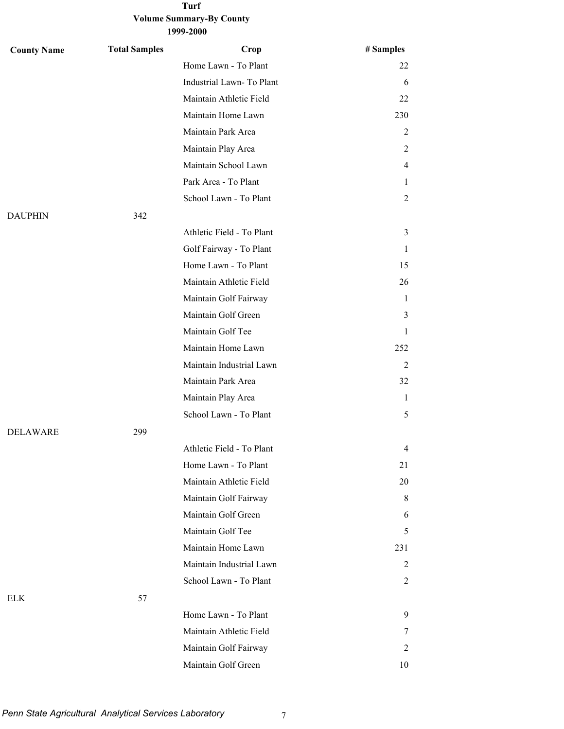| <b>County Name</b> | <b>Total Samples</b> | Crop                      | # Samples      |
|--------------------|----------------------|---------------------------|----------------|
|                    |                      | Home Lawn - To Plant      | 22             |
|                    |                      | Industrial Lawn- To Plant | 6              |
|                    |                      | Maintain Athletic Field   | 22             |
|                    |                      | Maintain Home Lawn        | 230            |
|                    |                      | Maintain Park Area        | $\overline{c}$ |
|                    |                      | Maintain Play Area        | 2              |
|                    |                      | Maintain School Lawn      | 4              |
|                    |                      | Park Area - To Plant      | 1              |
|                    |                      | School Lawn - To Plant    | $\overline{2}$ |
| <b>DAUPHIN</b>     | 342                  |                           |                |
|                    |                      | Athletic Field - To Plant | 3              |
|                    |                      | Golf Fairway - To Plant   | 1              |
|                    |                      | Home Lawn - To Plant      | 15             |
|                    |                      | Maintain Athletic Field   | 26             |
|                    |                      | Maintain Golf Fairway     | 1              |
|                    |                      | Maintain Golf Green       | 3              |
|                    |                      | Maintain Golf Tee         | $\mathbf{1}$   |
|                    |                      | Maintain Home Lawn        | 252            |
|                    |                      | Maintain Industrial Lawn  | 2              |
|                    |                      | Maintain Park Area        | 32             |
|                    |                      | Maintain Play Area        | 1              |
|                    |                      | School Lawn - To Plant    | 5              |
| <b>DELAWARE</b>    | 299                  |                           |                |
|                    |                      | Athletic Field - To Plant | 4              |
|                    |                      | Home Lawn - To Plant      | 21             |
|                    |                      | Maintain Athletic Field   | 20             |
|                    |                      | Maintain Golf Fairway     | 8              |
|                    |                      | Maintain Golf Green       | 6              |
|                    |                      | Maintain Golf Tee         | 5              |
|                    |                      | Maintain Home Lawn        | 231            |
|                    |                      | Maintain Industrial Lawn  | 2              |
|                    |                      | School Lawn - To Plant    | 2              |
| <b>ELK</b>         | 57                   |                           |                |
|                    |                      | Home Lawn - To Plant      | 9              |
|                    |                      | Maintain Athletic Field   | 7              |
|                    |                      | Maintain Golf Fairway     | 2              |
|                    |                      | Maintain Golf Green       | 10             |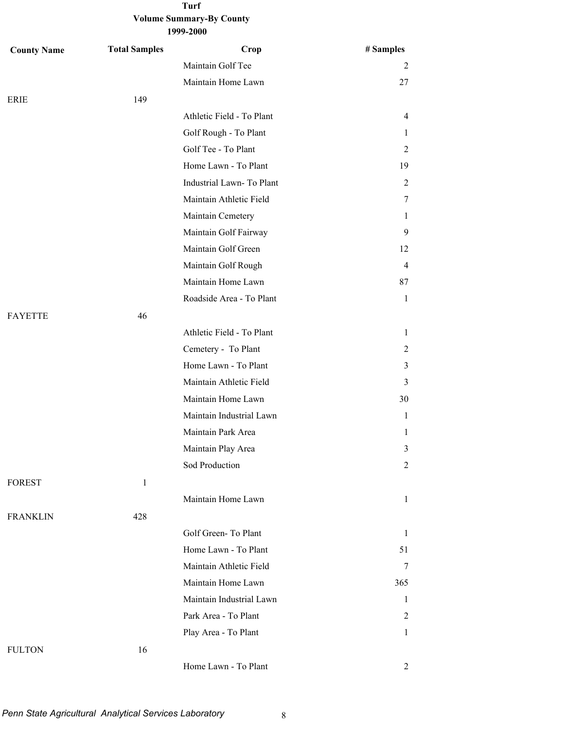| <b>County Name</b> | <b>Total Samples</b> | Crop                      | # Samples      |
|--------------------|----------------------|---------------------------|----------------|
|                    |                      | Maintain Golf Tee         | 2              |
|                    |                      | Maintain Home Lawn        | 27             |
| <b>ERIE</b>        | 149                  |                           |                |
|                    |                      | Athletic Field - To Plant | 4              |
|                    |                      | Golf Rough - To Plant     | 1              |
|                    |                      | Golf Tee - To Plant       | 2              |
|                    |                      | Home Lawn - To Plant      | 19             |
|                    |                      | Industrial Lawn- To Plant | 2              |
|                    |                      | Maintain Athletic Field   | 7              |
|                    |                      | Maintain Cemetery         | 1              |
|                    |                      | Maintain Golf Fairway     | 9              |
|                    |                      | Maintain Golf Green       | 12             |
|                    |                      | Maintain Golf Rough       | $\overline{4}$ |
|                    |                      | Maintain Home Lawn        | 87             |
|                    |                      | Roadside Area - To Plant  | $\mathbf{1}$   |
| <b>FAYETTE</b>     | 46                   |                           |                |
|                    |                      | Athletic Field - To Plant | $\mathbf{1}$   |
|                    |                      | Cemetery - To Plant       | 2              |
|                    |                      | Home Lawn - To Plant      | 3              |
|                    |                      | Maintain Athletic Field   | 3              |
|                    |                      | Maintain Home Lawn        | 30             |
|                    |                      | Maintain Industrial Lawn  | 1              |
|                    |                      | Maintain Park Area        | 1              |
|                    |                      | Maintain Play Area        | 3              |
|                    |                      | Sod Production            | 2              |
| <b>FOREST</b>      | $\mathbf{1}$         |                           |                |
|                    |                      | Maintain Home Lawn        | $\mathbf{1}$   |
| <b>FRANKLIN</b>    | 428                  |                           |                |
|                    |                      | Golf Green-To Plant       | $\mathbf{1}$   |
|                    |                      | Home Lawn - To Plant      | 51             |
|                    |                      | Maintain Athletic Field   | 7              |
|                    |                      | Maintain Home Lawn        | 365            |
|                    |                      | Maintain Industrial Lawn  | $\mathbf{1}$   |
|                    |                      | Park Area - To Plant      | 2              |
|                    |                      | Play Area - To Plant      | $\mathbf{1}$   |
| <b>FULTON</b>      | 16                   |                           |                |
|                    |                      | Home Lawn - To Plant      | $\overline{2}$ |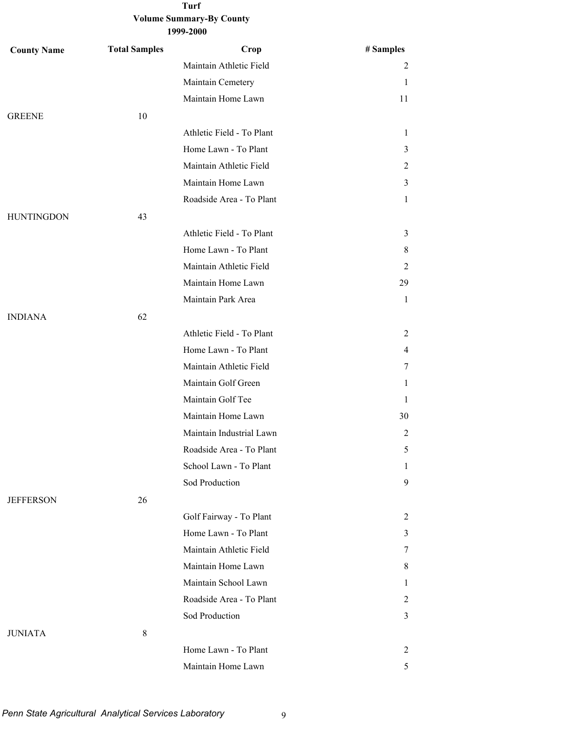| <b>County Name</b> | <b>Total Samples</b> | Crop                      | # Samples      |
|--------------------|----------------------|---------------------------|----------------|
|                    |                      | Maintain Athletic Field   | $\overline{c}$ |
|                    |                      | Maintain Cemetery         | 1              |
|                    |                      | Maintain Home Lawn        | 11             |
| <b>GREENE</b>      | 10                   |                           |                |
|                    |                      | Athletic Field - To Plant | $\mathbf{1}$   |
|                    |                      | Home Lawn - To Plant      | 3              |
|                    |                      | Maintain Athletic Field   | 2              |
|                    |                      | Maintain Home Lawn        | 3              |
|                    |                      | Roadside Area - To Plant  | $\mathbf{1}$   |
| <b>HUNTINGDON</b>  | 43                   |                           |                |
|                    |                      | Athletic Field - To Plant | 3              |
|                    |                      | Home Lawn - To Plant      | 8              |
|                    |                      | Maintain Athletic Field   | $\overline{2}$ |
|                    |                      | Maintain Home Lawn        | 29             |
|                    |                      | Maintain Park Area        | $\mathbf{1}$   |
| <b>INDIANA</b>     | 62                   |                           |                |
|                    |                      | Athletic Field - To Plant | 2              |
|                    |                      | Home Lawn - To Plant      | $\overline{4}$ |
|                    |                      | Maintain Athletic Field   | 7              |
|                    |                      | Maintain Golf Green       | $\mathbf{1}$   |
|                    |                      | Maintain Golf Tee         | 1              |
|                    |                      | Maintain Home Lawn        | 30             |
|                    |                      | Maintain Industrial Lawn  | $\overline{c}$ |
|                    |                      | Roadside Area - To Plant  | 5              |
|                    |                      | School Lawn - To Plant    | $\mathbf{1}$   |
|                    |                      | Sod Production            | 9              |
| <b>JEFFERSON</b>   | 26                   |                           |                |
|                    |                      | Golf Fairway - To Plant   | 2              |
|                    |                      | Home Lawn - To Plant      | 3              |
|                    |                      | Maintain Athletic Field   | 7              |
|                    |                      | Maintain Home Lawn        | 8              |
|                    |                      | Maintain School Lawn      | 1              |
|                    |                      | Roadside Area - To Plant  | 2              |
|                    |                      | Sod Production            | 3              |
| <b>JUNIATA</b>     | $\,8\,$              |                           |                |
|                    |                      | Home Lawn - To Plant      | 2              |
|                    |                      | Maintain Home Lawn        | 5              |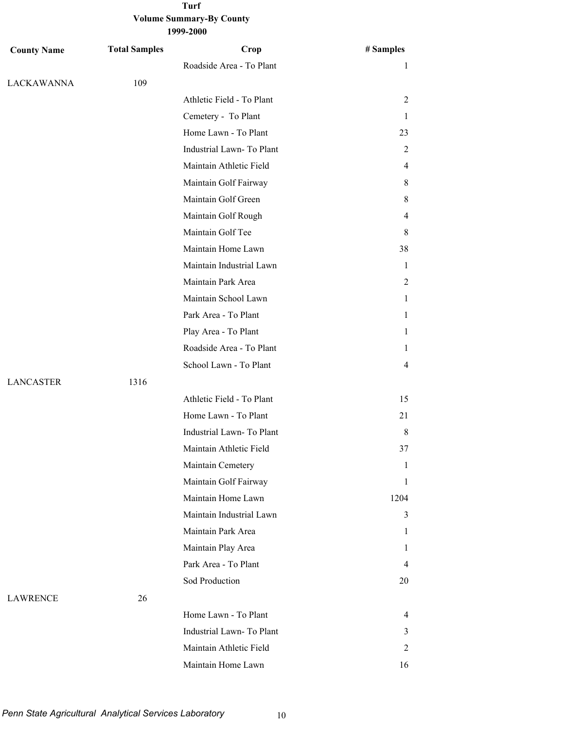| <b>County Name</b> | <b>Total Samples</b> | Crop                      | # Samples    |
|--------------------|----------------------|---------------------------|--------------|
|                    |                      | Roadside Area - To Plant  | 1            |
| LACKAWANNA         | 109                  |                           |              |
|                    |                      | Athletic Field - To Plant | 2            |
|                    |                      | Cemetery - To Plant       | 1            |
|                    |                      | Home Lawn - To Plant      | 23           |
|                    |                      | Industrial Lawn-To Plant  | 2            |
|                    |                      | Maintain Athletic Field   | 4            |
|                    |                      | Maintain Golf Fairway     | 8            |
|                    |                      | Maintain Golf Green       | 8            |
|                    |                      | Maintain Golf Rough       | 4            |
|                    |                      | Maintain Golf Tee         | 8            |
|                    |                      | Maintain Home Lawn        | 38           |
|                    |                      | Maintain Industrial Lawn  | 1            |
|                    |                      | Maintain Park Area        | 2            |
|                    |                      | Maintain School Lawn      | 1            |
|                    |                      | Park Area - To Plant      | 1            |
|                    |                      | Play Area - To Plant      | 1            |
|                    |                      | Roadside Area - To Plant  | 1            |
|                    |                      | School Lawn - To Plant    | 4            |
| <b>LANCASTER</b>   | 1316                 |                           |              |
|                    |                      | Athletic Field - To Plant | 15           |
|                    |                      | Home Lawn - To Plant      | 21           |
|                    |                      | Industrial Lawn-To Plant  | 8            |
|                    |                      | Maintain Athletic Field   | 37           |
|                    |                      | Maintain Cemetery         | 1            |
|                    |                      | Maintain Golf Fairway     | $\mathbf{1}$ |
|                    |                      | Maintain Home Lawn        | 1204         |
|                    |                      | Maintain Industrial Lawn  | 3            |
|                    |                      | Maintain Park Area        | 1            |
|                    |                      | Maintain Play Area        | 1            |
|                    |                      | Park Area - To Plant      | 4            |
|                    |                      | Sod Production            | 20           |
| <b>LAWRENCE</b>    | 26                   |                           |              |
|                    |                      | Home Lawn - To Plant      | 4            |
|                    |                      | Industrial Lawn-To Plant  | 3            |
|                    |                      | Maintain Athletic Field   | 2            |
|                    |                      | Maintain Home Lawn        | 16           |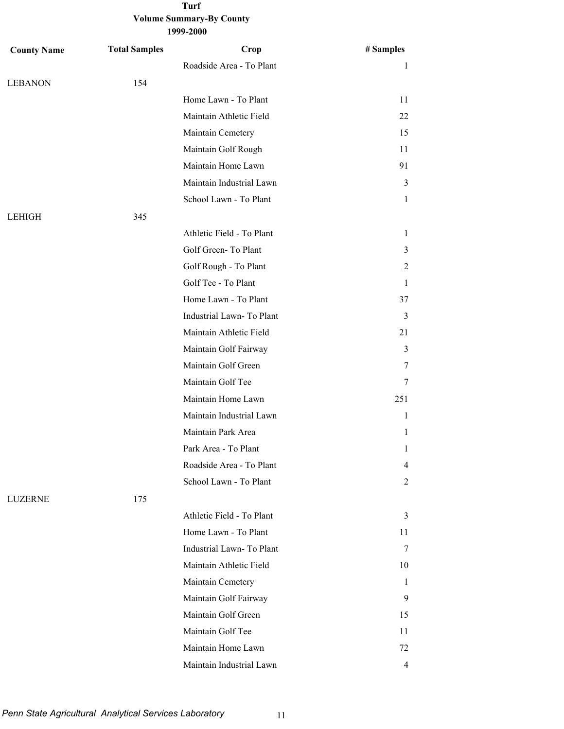| <b>County Name</b> | <b>Total Samples</b> | Crop                      | # Samples |
|--------------------|----------------------|---------------------------|-----------|
|                    |                      | Roadside Area - To Plant  | 1         |
| <b>LEBANON</b>     | 154                  |                           |           |
|                    |                      | Home Lawn - To Plant      | 11        |
|                    |                      | Maintain Athletic Field   | 22        |
|                    |                      | Maintain Cemetery         | 15        |
|                    |                      | Maintain Golf Rough       | 11        |
|                    |                      | Maintain Home Lawn        | 91        |
|                    |                      | Maintain Industrial Lawn  | 3         |
|                    |                      | School Lawn - To Plant    | 1         |
| LEHIGH             | 345                  |                           |           |
|                    |                      | Athletic Field - To Plant | 1         |
|                    |                      | Golf Green-To Plant       | 3         |
|                    |                      | Golf Rough - To Plant     | 2         |
|                    |                      | Golf Tee - To Plant       | 1         |
|                    |                      | Home Lawn - To Plant      | 37        |
|                    |                      | Industrial Lawn-To Plant  | 3         |
|                    |                      | Maintain Athletic Field   | 21        |
|                    |                      | Maintain Golf Fairway     | 3         |
|                    |                      | Maintain Golf Green       | 7         |
|                    |                      | Maintain Golf Tee         | 7         |
|                    |                      | Maintain Home Lawn        | 251       |
|                    |                      | Maintain Industrial Lawn  | 1         |
|                    |                      | Maintain Park Area        | 1         |
|                    |                      | Park Area - To Plant      | 1         |
|                    |                      | Roadside Area - To Plant  | 4         |
|                    |                      | School Lawn - To Plant    | 2         |
| <b>LUZERNE</b>     | 175                  |                           |           |
|                    |                      | Athletic Field - To Plant | 3         |
|                    |                      | Home Lawn - To Plant      | 11        |
|                    |                      | Industrial Lawn-To Plant  | 7         |
|                    |                      | Maintain Athletic Field   | 10        |
|                    |                      | Maintain Cemetery         | 1         |
|                    |                      | Maintain Golf Fairway     | 9         |
|                    |                      | Maintain Golf Green       | 15        |
|                    |                      | Maintain Golf Tee         | 11        |
|                    |                      | Maintain Home Lawn        | 72        |
|                    |                      | Maintain Industrial Lawn  | 4         |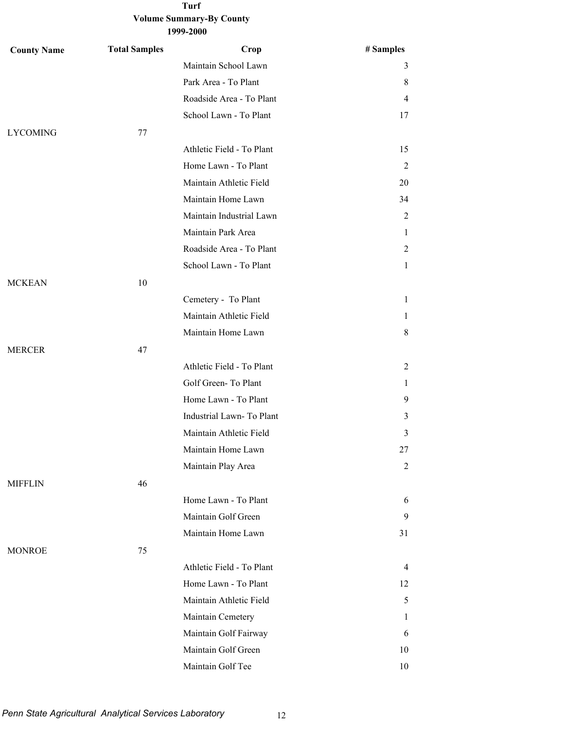| <b>County Name</b> | <b>Total Samples</b> | Crop                      | # Samples      |
|--------------------|----------------------|---------------------------|----------------|
|                    |                      | Maintain School Lawn      | 3              |
|                    |                      | Park Area - To Plant      | 8              |
|                    |                      | Roadside Area - To Plant  | $\overline{4}$ |
|                    |                      | School Lawn - To Plant    | 17             |
| <b>LYCOMING</b>    | 77                   |                           |                |
|                    |                      | Athletic Field - To Plant | 15             |
|                    |                      | Home Lawn - To Plant      | $\overline{c}$ |
|                    |                      | Maintain Athletic Field   | 20             |
|                    |                      | Maintain Home Lawn        | 34             |
|                    |                      | Maintain Industrial Lawn  | $\overline{c}$ |
|                    |                      | Maintain Park Area        | 1              |
|                    |                      | Roadside Area - To Plant  | 2              |
|                    |                      | School Lawn - To Plant    | 1              |
| <b>MCKEAN</b>      | 10                   |                           |                |
|                    |                      | Cemetery - To Plant       | $\mathbf{1}$   |
|                    |                      | Maintain Athletic Field   | 1              |
|                    |                      | Maintain Home Lawn        | 8              |
| <b>MERCER</b>      | 47                   |                           |                |
|                    |                      | Athletic Field - To Plant | 2              |
|                    |                      | Golf Green-To Plant       | 1              |
|                    |                      | Home Lawn - To Plant      | 9              |
|                    |                      | Industrial Lawn- To Plant | 3              |
|                    |                      | Maintain Athletic Field   | 3              |
|                    |                      | Maintain Home Lawn        | 27             |
|                    |                      | Maintain Play Area        | 2              |
| <b>MIFFLIN</b>     | 46                   |                           |                |
|                    |                      | Home Lawn - To Plant      | 6              |
|                    |                      | Maintain Golf Green       | 9              |
|                    |                      | Maintain Home Lawn        | 31             |
| <b>MONROE</b>      | 75                   |                           |                |
|                    |                      | Athletic Field - To Plant | $\overline{4}$ |
|                    |                      | Home Lawn - To Plant      | 12             |
|                    |                      | Maintain Athletic Field   | 5              |
|                    |                      | Maintain Cemetery         | 1              |
|                    |                      | Maintain Golf Fairway     | 6              |
|                    |                      | Maintain Golf Green       | 10             |
|                    |                      | Maintain Golf Tee         | 10             |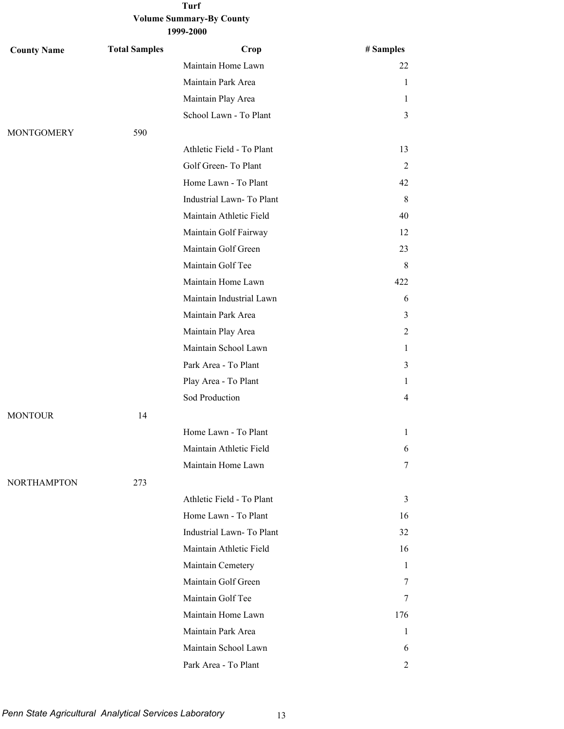| <b>County Name</b> | <b>Total Samples</b> | Crop                      | # Samples    |
|--------------------|----------------------|---------------------------|--------------|
|                    |                      | Maintain Home Lawn        | 22           |
|                    |                      | Maintain Park Area        | $\mathbf{1}$ |
|                    |                      | Maintain Play Area        | 1            |
|                    |                      | School Lawn - To Plant    | 3            |
| <b>MONTGOMERY</b>  | 590                  |                           |              |
|                    |                      | Athletic Field - To Plant | 13           |
|                    |                      | Golf Green-To Plant       | 2            |
|                    |                      | Home Lawn - To Plant      | 42           |
|                    |                      | Industrial Lawn-To Plant  | 8            |
|                    |                      | Maintain Athletic Field   | 40           |
|                    |                      | Maintain Golf Fairway     | 12           |
|                    |                      | Maintain Golf Green       | 23           |
|                    |                      | Maintain Golf Tee         | 8            |
|                    |                      | Maintain Home Lawn        | 422          |
|                    |                      | Maintain Industrial Lawn  | 6            |
|                    |                      | Maintain Park Area        | 3            |
|                    |                      | Maintain Play Area        | 2            |
|                    |                      | Maintain School Lawn      | 1            |
|                    |                      | Park Area - To Plant      | 3            |
|                    |                      | Play Area - To Plant      | 1            |
|                    |                      | Sod Production            | 4            |
| <b>MONTOUR</b>     | 14                   |                           |              |
|                    |                      | Home Lawn - To Plant      | 1            |
|                    |                      | Maintain Athletic Field   | 6            |
|                    |                      | Maintain Home Lawn        | 7            |
| <b>NORTHAMPTON</b> | 273                  |                           |              |
|                    |                      | Athletic Field - To Plant | 3            |
|                    |                      | Home Lawn - To Plant      | 16           |
|                    |                      | Industrial Lawn-To Plant  | 32           |
|                    |                      | Maintain Athletic Field   | 16           |
|                    |                      | Maintain Cemetery         | 1            |
|                    |                      | Maintain Golf Green       | 7            |
|                    |                      | Maintain Golf Tee         | 7            |
|                    |                      | Maintain Home Lawn        | 176          |
|                    |                      | Maintain Park Area        | 1            |
|                    |                      | Maintain School Lawn      | 6            |
|                    |                      | Park Area - To Plant      | 2            |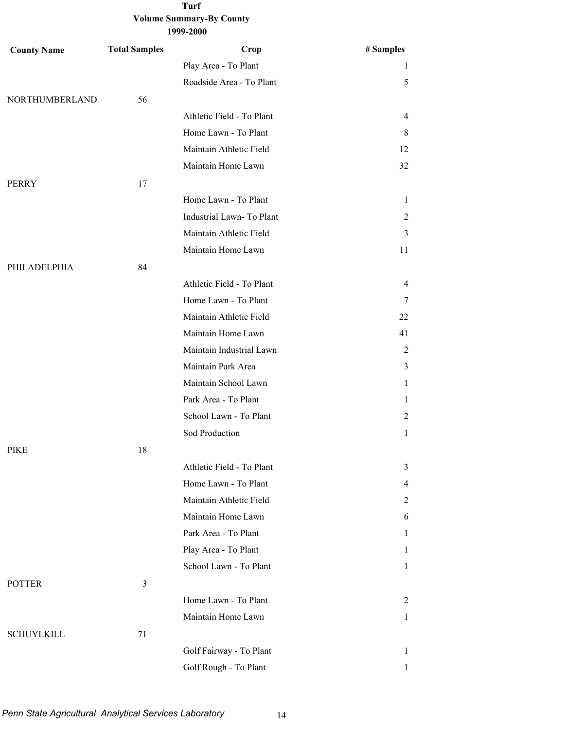| <b>County Name</b> | <b>Total Samples</b> | Crop                      | # Samples      |
|--------------------|----------------------|---------------------------|----------------|
|                    |                      | Play Area - To Plant      | 1              |
|                    |                      | Roadside Area - To Plant  | 5              |
| NORTHUMBERLAND     | 56                   |                           |                |
|                    |                      | Athletic Field - To Plant | 4              |
|                    |                      | Home Lawn - To Plant      | 8              |
|                    |                      | Maintain Athletic Field   | 12             |
|                    |                      | Maintain Home Lawn        | 32             |
| PERRY              | 17                   |                           |                |
|                    |                      | Home Lawn - To Plant      | $\mathbf{1}$   |
|                    |                      | Industrial Lawn-To Plant  | $\overline{2}$ |
|                    |                      | Maintain Athletic Field   | 3              |
|                    |                      | Maintain Home Lawn        | 11             |
| PHILADELPHIA       | 84                   |                           |                |
|                    |                      | Athletic Field - To Plant | 4              |
|                    |                      | Home Lawn - To Plant      | 7              |
|                    |                      | Maintain Athletic Field   | 22             |
|                    |                      | Maintain Home Lawn        | 41             |
|                    |                      | Maintain Industrial Lawn  | $\overline{2}$ |
|                    |                      | Maintain Park Area        | 3              |
|                    |                      | Maintain School Lawn      | 1              |
|                    |                      | Park Area - To Plant      | 1              |
|                    |                      | School Lawn - To Plant    | 2              |
|                    |                      | Sod Production            | $\mathbf{1}$   |
| <b>PIKE</b>        | 18                   |                           |                |
|                    |                      | Athletic Field - To Plant | 3              |
|                    |                      | Home Lawn - To Plant      | $\overline{4}$ |
|                    |                      | Maintain Athletic Field   | 2              |
|                    |                      | Maintain Home Lawn        | 6              |
|                    |                      | Park Area - To Plant      | $\mathbf{1}$   |
|                    |                      | Play Area - To Plant      | 1              |
|                    |                      | School Lawn - To Plant    | $\mathbf{1}$   |
| <b>POTTER</b>      | $\mathfrak{Z}$       |                           |                |
|                    |                      | Home Lawn - To Plant      | $\overline{2}$ |
|                    |                      | Maintain Home Lawn        | $\mathbf{1}$   |
| <b>SCHUYLKILL</b>  | 71                   |                           |                |
|                    |                      | Golf Fairway - To Plant   | $\mathbf{1}$   |
|                    |                      | Golf Rough - To Plant     | 1              |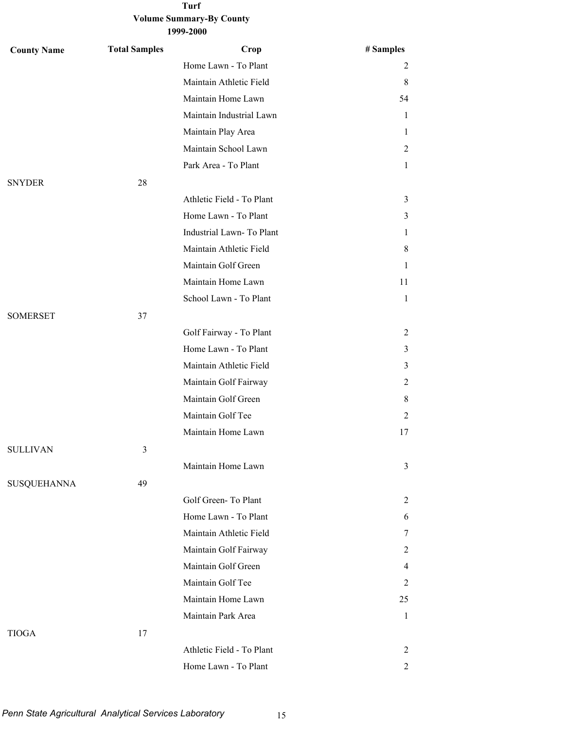| <b>County Name</b> | <b>Total Samples</b> | Crop                      | # Samples      |
|--------------------|----------------------|---------------------------|----------------|
|                    |                      | Home Lawn - To Plant      | 2              |
|                    |                      | Maintain Athletic Field   | 8              |
|                    |                      | Maintain Home Lawn        | 54             |
|                    |                      | Maintain Industrial Lawn  | 1              |
|                    |                      | Maintain Play Area        | 1              |
|                    |                      | Maintain School Lawn      | 2              |
|                    |                      | Park Area - To Plant      | 1              |
| <b>SNYDER</b>      | 28                   |                           |                |
|                    |                      | Athletic Field - To Plant | 3              |
|                    |                      | Home Lawn - To Plant      | 3              |
|                    |                      | Industrial Lawn-To Plant  | 1              |
|                    |                      | Maintain Athletic Field   | 8              |
|                    |                      | Maintain Golf Green       | 1              |
|                    |                      | Maintain Home Lawn        | 11             |
|                    |                      | School Lawn - To Plant    | $\mathbf{1}$   |
| <b>SOMERSET</b>    | 37                   |                           |                |
|                    |                      | Golf Fairway - To Plant   | 2              |
|                    |                      | Home Lawn - To Plant      | 3              |
|                    |                      | Maintain Athletic Field   | 3              |
|                    |                      | Maintain Golf Fairway     | 2              |
|                    |                      | Maintain Golf Green       | 8              |
|                    |                      | Maintain Golf Tee         | $\overline{2}$ |
|                    |                      | Maintain Home Lawn        | 17             |
| <b>SULLIVAN</b>    | 3                    |                           |                |
|                    |                      | Maintain Home Lawn        | 3              |
| <b>SUSQUEHANNA</b> | 49                   |                           |                |
|                    |                      | Golf Green-To Plant       | 2              |
|                    |                      | Home Lawn - To Plant      | 6              |
|                    |                      | Maintain Athletic Field   | 7              |
|                    |                      | Maintain Golf Fairway     | 2              |
|                    |                      | Maintain Golf Green       | $\overline{4}$ |
|                    |                      | Maintain Golf Tee         | 2              |
|                    |                      | Maintain Home Lawn        | 25             |
|                    |                      | Maintain Park Area        | $\mathbf{1}$   |
| <b>TIOGA</b>       | 17                   |                           |                |
|                    |                      | Athletic Field - To Plant | 2              |
|                    |                      | Home Lawn - To Plant      | 2              |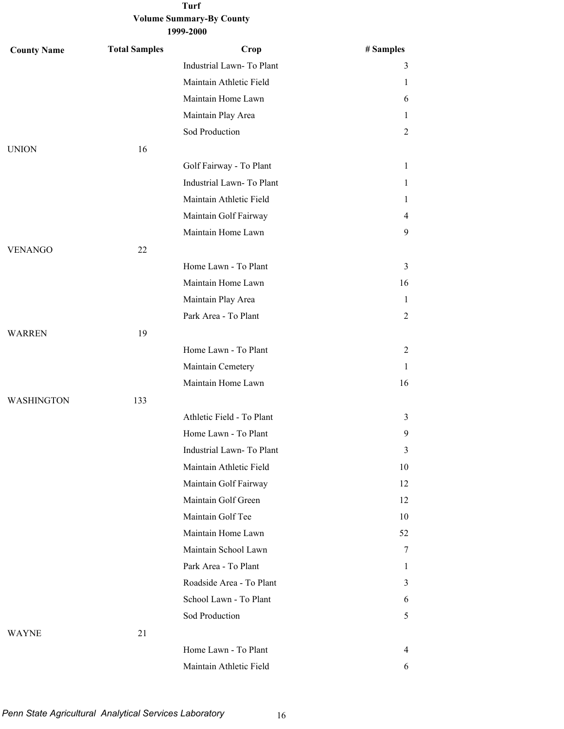| <b>County Name</b> | <b>Total Samples</b> | Crop                      | # Samples      |
|--------------------|----------------------|---------------------------|----------------|
|                    |                      | Industrial Lawn- To Plant | 3              |
|                    |                      | Maintain Athletic Field   | T              |
|                    |                      | Maintain Home Lawn        | 6              |
|                    |                      | Maintain Play Area        | 1              |
|                    |                      | Sod Production            | $\overline{2}$ |
| <b>UNION</b>       | 16                   |                           |                |
|                    |                      | Golf Fairway - To Plant   | 1              |
|                    |                      | Industrial Lawn-To Plant  | 1              |
|                    |                      | Maintain Athletic Field   | 1              |
|                    |                      | Maintain Golf Fairway     | 4              |
|                    |                      | Maintain Home Lawn        | 9              |
| <b>VENANGO</b>     | 22                   |                           |                |
|                    |                      | Home Lawn - To Plant      | 3              |
|                    |                      | Maintain Home Lawn        | 16             |
|                    |                      | Maintain Play Area        | 1              |
|                    |                      | Park Area - To Plant      | 2              |
| <b>WARREN</b>      | 19                   |                           |                |
|                    |                      | Home Lawn - To Plant      | 2              |
|                    |                      | Maintain Cemetery         | 1              |
|                    |                      | Maintain Home Lawn        | 16             |
| <b>WASHINGTON</b>  | 133                  |                           |                |
|                    |                      | Athletic Field - To Plant | 3              |
|                    |                      | Home Lawn - To Plant      | 9              |
|                    |                      | Industrial Lawn- To Plant | 3              |
|                    |                      | Maintain Athletic Field   | 10             |
|                    |                      | Maintain Golf Fairway     | 12             |
|                    |                      | Maintain Golf Green       | 12             |
|                    |                      | Maintain Golf Tee         | 10             |
|                    |                      | Maintain Home Lawn        | 52             |
|                    |                      | Maintain School Lawn      | 7              |
|                    |                      | Park Area - To Plant      | 1              |
|                    |                      | Roadside Area - To Plant  | 3              |
|                    |                      | School Lawn - To Plant    | 6              |
|                    |                      | Sod Production            | 5              |
| <b>WAYNE</b>       | 21                   |                           |                |
|                    |                      | Home Lawn - To Plant      | $\overline{4}$ |
|                    |                      | Maintain Athletic Field   | 6              |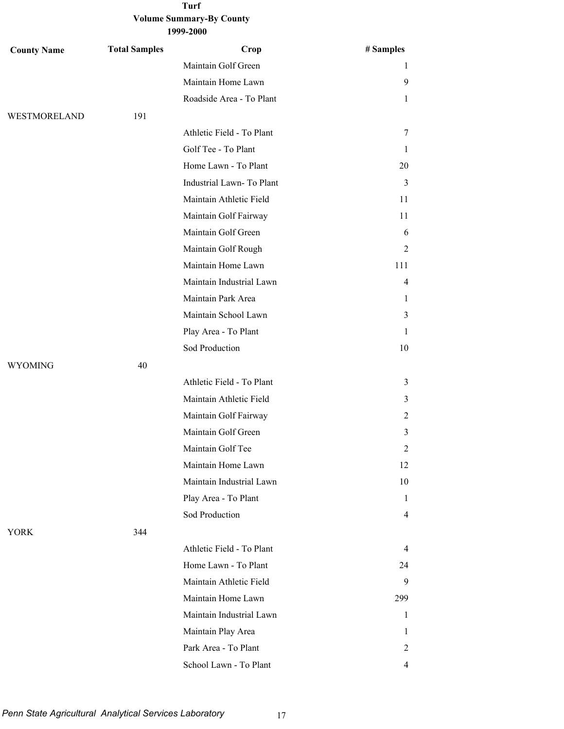| <b>County Name</b> | <b>Total Samples</b> | Crop                      | # Samples      |
|--------------------|----------------------|---------------------------|----------------|
|                    |                      | Maintain Golf Green       | 1              |
|                    |                      | Maintain Home Lawn        | 9              |
|                    |                      | Roadside Area - To Plant  | $\mathbf{1}$   |
| WESTMORELAND       | 191                  |                           |                |
|                    |                      | Athletic Field - To Plant | 7              |
|                    |                      | Golf Tee - To Plant       | 1              |
|                    |                      | Home Lawn - To Plant      | 20             |
|                    |                      | Industrial Lawn-To Plant  | 3              |
|                    |                      | Maintain Athletic Field   | 11             |
|                    |                      | Maintain Golf Fairway     | 11             |
|                    |                      | Maintain Golf Green       | 6              |
|                    |                      | Maintain Golf Rough       | 2              |
|                    |                      | Maintain Home Lawn        | 111            |
|                    |                      | Maintain Industrial Lawn  | 4              |
|                    |                      | Maintain Park Area        | 1              |
|                    |                      | Maintain School Lawn      | 3              |
|                    |                      | Play Area - To Plant      | 1              |
|                    |                      | Sod Production            | 10             |
| <b>WYOMING</b>     | 40                   |                           |                |
|                    |                      | Athletic Field - To Plant | 3              |
|                    |                      | Maintain Athletic Field   | 3              |
|                    |                      | Maintain Golf Fairway     | 2              |
|                    |                      | Maintain Golf Green       | 3              |
|                    |                      | Maintain Golf Tee         | 2              |
|                    |                      | Maintain Home Lawn        | 12             |
|                    |                      | Maintain Industrial Lawn  | 10             |
|                    |                      | Play Area - To Plant      | 1              |
|                    |                      | Sod Production            | $\overline{4}$ |
| <b>YORK</b>        | 344                  |                           |                |
|                    |                      | Athletic Field - To Plant | $\overline{4}$ |
|                    |                      | Home Lawn - To Plant      | 24             |
|                    |                      | Maintain Athletic Field   | 9              |
|                    |                      | Maintain Home Lawn        | 299            |
|                    |                      | Maintain Industrial Lawn  | 1              |
|                    |                      | Maintain Play Area        | 1              |
|                    |                      | Park Area - To Plant      | 2              |
|                    |                      | School Lawn - To Plant    | 4              |